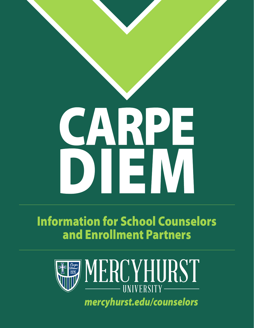# CARPE

#### Information for School Counselors and Enrollment Partners



*[mercyhurst.edu/counselors](https://mercyhurst.edu/counselors)*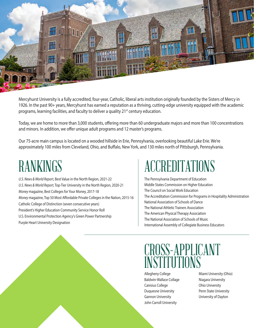

Mercyhurst University is a fully accredited, four-year, Catholic, liberal arts institution originally founded by the Sisters of Mercy in 1926. In the past 90+ years, Mercyhurst has earned a reputation as a thriving, cutting-edge university equipped with the academic programs, learning facilities, and faculty to deliver a quality 21<sup>st</sup> century education.

Today, we are home to more than 3,000 students, ofering more than 60 undergraduate majors and more than 100 concentrations and minors. In addition, we offer unique adult programs and 12 master's programs.

Our 75-acre main campus is located on a wooded hillside in Erie, Pennsylvania, overlooking beautiful Lake Erie. We're approximately 100 miles from Cleveland, Ohio, and Bufalo, New York, and 130 miles north of Pittsburgh, Pennsylvania.

## RANKINGS

*U.S. News & World Report*, Best Value in the North Region, 2021-22 *U.S. News & World Report*, Top-Tier University in the North Region, 2020-21 *Money* magazine, Best Colleges for Your Money, 2017-18 *Money* magazine, Top 50 Most Afordable Private Colleges in the Nation, 2015-16 Catholic College of Distinction (seven consecutive years) President's Higher Education Community Service Honor Roll U.S. Environmental Protection Agency's Green Power Partnership Purple Heart University Designation

## ACCREDITATIONS

The Pennsylvania Department of Education Middle States Commission on Higher Education The Council on Social Work Education The Accreditation Commission for Programs in Hospitality Administration National Association of Schools of Dance The National Athletic Trainers Association The American Physical Therapy Association The National Association of Schools of Music International Assembly of Collegiate Business Educators

#### CROSS-APPLICANT INSTITUTIONS

Allegheny College Miami University (Ohio) Baldwin-Wallace Collage Niagara University Canisius College **Canisius** College **Canisius** College Duquesne University **Penn State University** Gannon University University of Dayton John Carroll University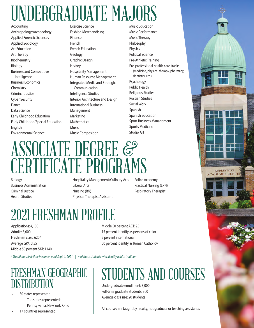# UNDERGRADUATE MAJORS

Anthropology/Archaeology Fashion Merchandising Music Performance Applied Forensic Sciences Finance Finance Music Therapy Applied Sociology **French** Philosophy Art Education **French Education Physics** Art Therapy Geology Political Science Biochemistry **Example 2** Graphic Design **Pre-Athletic Training** Biology **Example 20** History History **Pre-professional health care tracks** Business and Competitive **Hospitality Management** (medicine, physical therapy, pharmacy, Business Economics **Integrated Media and Strategic** Psychology<br>Communication **Public Health** Communication Public Health Chemistry Chemistry Communication Criminal Justice **Intelligence Studies** Religious Studies Cyber Security **Interior Architecture and Design** Russian Studies Dance International Business Social Work Data Science **Management** Spanish Early Childhood Education Marketing Marketing Spanish Education Early Childhood/Special Education Mathematics Sport Business Management English **Music** Music Sports Medicine Environmental Science Music Composition Studio Art

Intelligence **Intelligence** Human Resource Management dentistry, etc.)<br>
Integrated Media and Strategic Psychology

**Music Education** 

# ASSOCIATE DEGREE & **CERTIFICATE PROGRAMS**

Hospitality Management/Culinary Arts Business Administration **Liberal Arts Communistration** Liberal Arts **Practical Nursing (LPN)** Criminal Justice **Nursing (RN)** Respiratory Therapist Respiratory Therapist Health Studies **Physical Therapist Assistant** 

偏覆

**AUDREY HIRT ACADEMIC CENTE** 

## 2021 FRESHMAN PROFILE

Freshman class: 620\* 5 percent international Middle 50 percent SAT: 1140

Applications: 4,100 Middle 50 percent ACT: 25 Admits: 3,000 15 percent identify as persons of color Average GPA: 3.55 **Superverse COVE 10** 50 percent identify as Roman Catholic<sup>A</sup>

*\* Traditional, frst-time freshmen as of Sept. 1, 2021. | ^ of those students who identify a faith tradition* 

#### FRESHMAN GEOGRAPHIC DISTRIBUTION

• 30 states represented Top states represented: Pennsylvania, New York, Ohio

17 countries represented

# STUDENTS AND COURSES

Undergraduate enrollment: 3,000 Full-time graduate students: 300 Average class size: 20 students

All courses are taught by faculty, not graduate or teaching assistants.